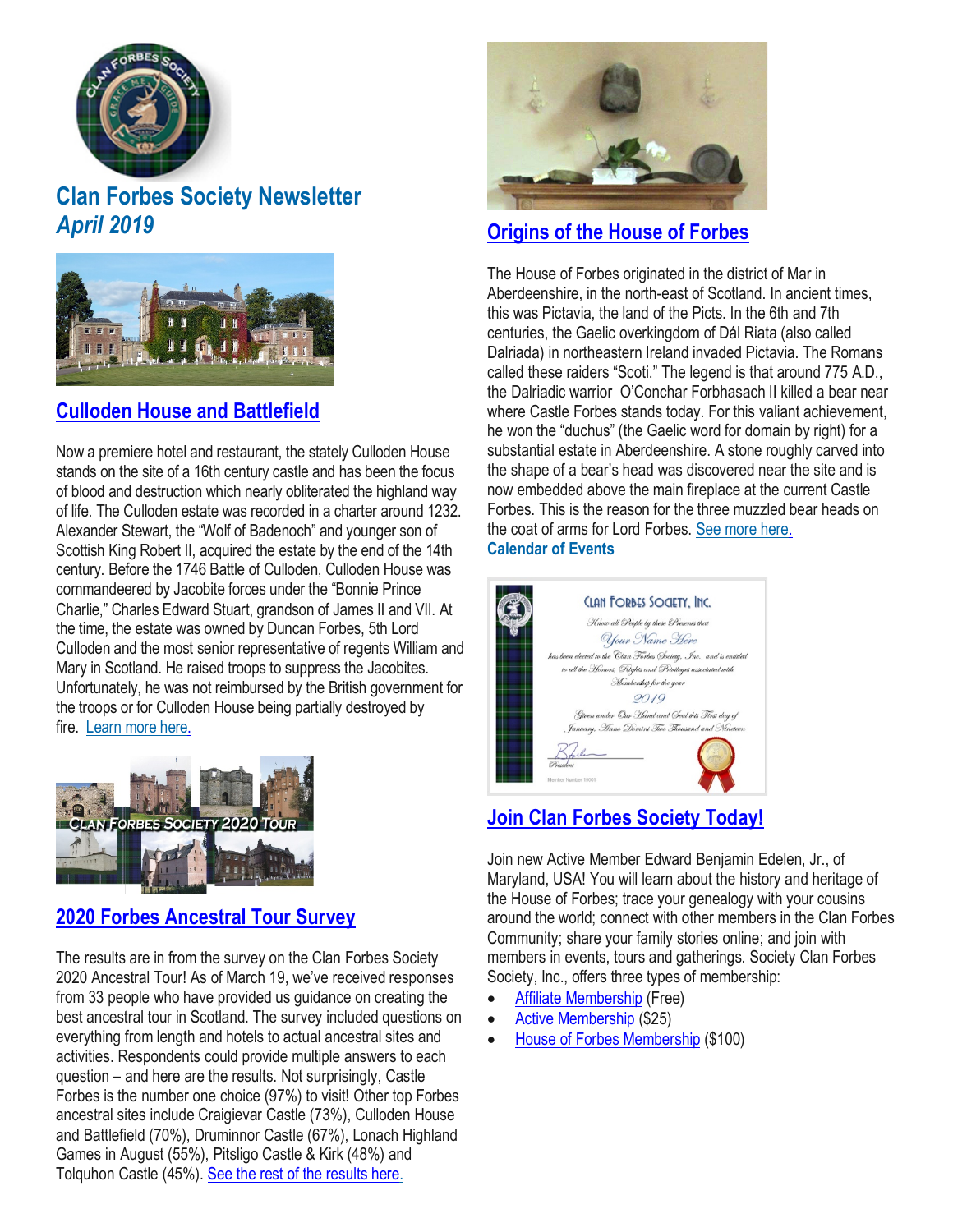

# **Clan Forbes Society Newsletter** *April 2019*



### **Culloden House and [Battlefield](https://www.clan-forbes.org/culloden)**

Now a premiere hotel and restaurant, the stately Culloden House stands on the site of a 16th century castle and has been the focus of blood and destruction which nearly obliterated the highland way of life. The Culloden estate was recorded in a charter around 1232. Alexander Stewart, the "Wolf of Badenoch" and younger son of Scottish King Robert II, acquired the estate by the end of the 14th century. Before the 1746 Battle of Culloden, Culloden House was commandeered by Jacobite forces under the "Bonnie Prince Charlie," Charles Edward Stuart, grandson of James II and VII. At the time, the estate was owned by Duncan Forbes, 5th Lord Culloden and the most senior representative of regents William and Mary in Scotland. He raised troops to suppress the Jacobites. Unfortunately, he was not reimbursed by the British government for the troops or for Culloden House being partially destroyed by fire. [Learn](https://www.clan-forbes.org/culloden) more here.



### **2020 Forbes [Ancestral](https://www.clan-forbes.org/blog/2020-tour-survey) Tour Survey**

The results are in from the survey on the Clan Forbes Society 2020 Ancestral Tour! As of March 19, we've received responses from 33 people who have provided us guidance on creating the best ancestral tour in Scotland. The survey included questions on everything from length and hotels to actual ancestral sites and activities. Respondents could provide multiple answers to each question – and here are the results. Not surprisingly, Castle Forbes is the number one choice (97%) to visit! Other top Forbes ancestral sites include Craigievar Castle (73%), Culloden House and Battlefield (70%), Druminnor Castle (67%), Lonach Highland Games in August (55%), Pitsligo Castle & Kirk (48%) and Tolquhon Castle (45%). See the rest of the [results](https://www.clan-forbes.org/blog/2020-tour-survey) here.



### **[Origins](https://www.clan-forbes.org/origins) of the House of Forbes**

The House of Forbes originated in the district of Mar in Aberdeenshire, in the north-east of Scotland. In ancient times, this was Pictavia, the land of the Picts. In the 6th and 7th centuries, the Gaelic overkingdom of Dál Riata (also called Dalriada) in northeastern Ireland invaded Pictavia. The Romans called these raiders "Scoti." The legend is that around 775 A.D., the Dalriadic warrior O'Conchar Forbhasach II killed a bear near where Castle Forbes stands today. For this valiant achievement, he won the "duchus" (the Gaelic word for domain by right) for a substantial estate in Aberdeenshire. A stone roughly carved into the shape of a bear's head was discovered near the site and is now embedded above the main fireplace at the current Castle Forbes. This is the reason for the three muzzled bear heads on the coat of arms for Lord Forbes. See more [here.](https://www.clan-forbes.org/origins)  **Calendar of Events**



## **Join Clan Forbes [Society](https://www.clan-forbes.org/join) Today!**

Join new Active Member Edward Benjamin Edelen, Jr., of Maryland, USA! You will learn about the history and heritage of the House of Forbes; trace your genealogy with your cousins around the world; connect with other members in the Clan Forbes Community; share your family stories online; and join with members in events, tours and gatherings. Society Clan Forbes Society, Inc., offers three types of membership:

- Affiliate [Membership](https://www.clan-forbes.org/affiliate) (Free)
- **Active [Membership](https://www.clan-forbes.org/active-membership) (\$25)**
- House of Forbes [Membership](https://www.clan-forbes.org/house-of-forbes-member) (\$100)